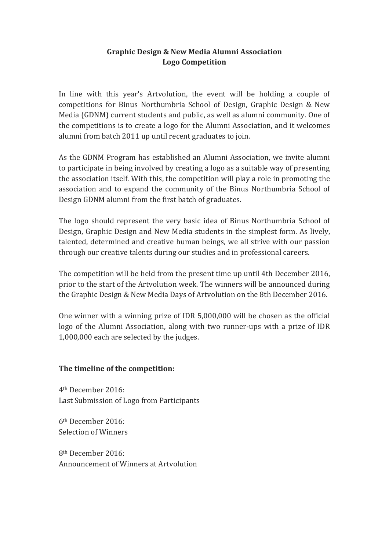## Graphic Design & New Media Alumni Association **Logo Competition**

In line with this year's Artvolution, the event will be holding a couple of competitions for Binus Northumbria School of Design, Graphic Design & New Media (GDNM) current students and public, as well as alumni community. One of the competitions is to create a logo for the Alumni Association, and it welcomes alumni from batch 2011 up until recent graduates to join.

As the GDNM Program has established an Alumni Association, we invite alumni to participate in being involved by creating a logo as a suitable way of presenting the association itself. With this, the competition will play a role in promoting the association and to expand the community of the Binus Northumbria School of Design GDNM alumni from the first batch of graduates.

The logo should represent the very basic idea of Binus Northumbria School of Design, Graphic Design and New Media students in the simplest form. As lively, talented, determined and creative human beings, we all strive with our passion through our creative talents during our studies and in professional careers.

The competition will be held from the present time up until 4th December 2016, prior to the start of the Artvolution week. The winners will be announced during the Graphic Design & New Media Days of Artvolution on the 8th December 2016.

One winner with a winning prize of IDR  $5,000,000$  will be chosen as the official logo of the Alumni Association, along with two runner-ups with a prize of IDR  $1,000,000$  each are selected by the judges.

## The timeline of the competition:

4th December 2016: Last Submission of Logo from Participants

6th December 2016: Selection of Winners

8th December 2016: Announcement of Winners at Artvolution